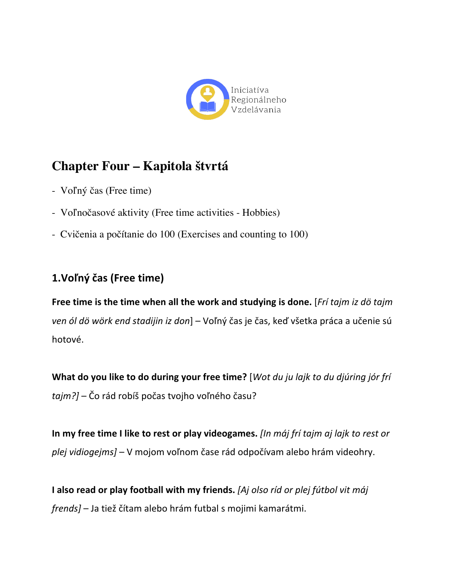

# **Chapter Four – Kapitola štvrtá**

- Voľný čas (Free time)
- Voľnočasové aktivity (Free time activities Hobbies)
- Cvičenia a počítanie do 100 (Exercises and counting to 100)

### **1.Voľný čas (Free time)**

**Free time is the time when all the work and studying is done.** [*Fri tajm iz dö tajm* ven ól dö wörk end stadijin iz don] – Voľný čas je čas, keď všetka práca a učenie sú hotové. 

**What do you like to do during your free time?** [Wot *du ju lajk to du djúring jór frí tajm?]* – Čo rád robíš počas tvojho voľného času?

In my free time I like to rest or play videogames. *[In máj frí tajm aj lajk to rest or plej vidiogejms]* – V mojom voľnom čase rád odpočívam alebo hrám videohry.

**I** also read or play football with my friends. [Aj olso ríd or plej fútbol vit máj *frends]* – Ja tiež čítam alebo hrám futbal s mojimi kamarátmi.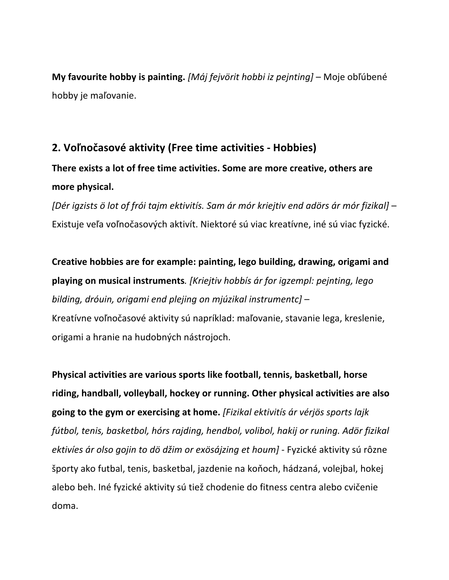**My favourite hobby is painting.** *[Máj fejvörit hobbi iz pejnting]* – Moje obľúbené hobby je maľovanie.

### **2. Voľnočasové aktivity (Free time activities - Hobbies)**

## **There exists a lot of free time activities. Some are more creative, others are** more physical.

*[Dér igzists ö lot of frói tajm ektivitís. Sam ár mór kriejtiv end adörs ár mór fizikal]* – Existuje veľa voľnočasových aktivít. Niektoré sú viac kreatívne, iné sú viac fyzické.

Creative hobbies are for example: painting, lego building, drawing, origami and **playing on musical instruments**. *[Kriejtiv hobbis ar for igzempl: pejnting, lego bilding, dróuin, origami end plejing on mjúzikal instrumentc]* – Kreatívne voľnočasové aktivity sú napríklad: maľovanie, stavanie lega, kreslenie, origami a hranie na hudobných nástrojoch.

**Physical activities are various sports like football, tennis, basketball, horse** riding, handball, volleyball, hockey or running. Other physical activities are also going to the gym or exercising at home. [Fizikal ektivitis ár vérjös sports lajk fútbol, tenis, basketbol, hórs rajding, hendbol, volibol, hakij or runing. Adör fizikal ektivíes ár olso gojin to dö džim or exösájzing et houm] - Fyzické aktivity sú rôzne športy ako futbal, tenis, basketbal, jazdenie na koňoch, hádzaná, volejbal, hokej alebo beh. Iné fyzické aktivity sú tiež chodenie do fitness centra alebo cvičenie doma.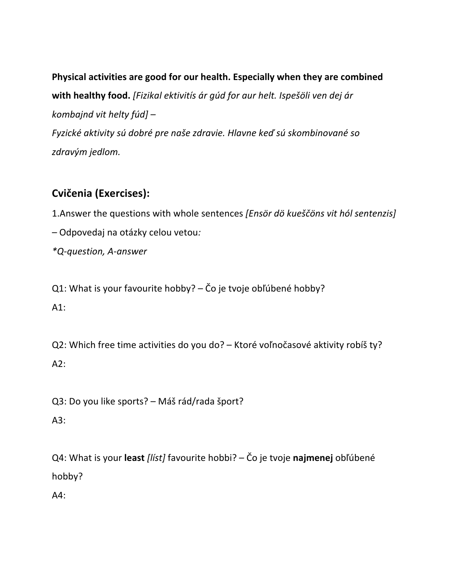Physical activities are good for our health. Especially when they are combined with healthy food. [Fizikal ektivitis ár gúd for aur helt. Ispešöli ven dej ár *kombajnd vit helty fúd] – Fyzické aktivity sú dobré pre naše zdravie. Hlavne keď sú skombinované so zdravým jedlom.* 

### **Cvičenia (Exercises):**

1.Answer the questions with whole sentences [Ensör dö kueščöns vit hól sentenzis] *–* Odpovedaj na otázky celou vetou*:* 

*\*Q-question, A-answer*

Q1: What is your favourite hobby? – Čo je tvoje obľúbené hobby? A1:

Q2: Which free time activities do you do? - Ktoré voľnočasové aktivity robíš ty?  $A2:$ 

Q3: Do you like sports? – Máš rád/rada šport? A3:

Q4: What is your least *[líst]* favourite hobbi? – Čo je tvoje najmenej obľúbené hobby? 

A4: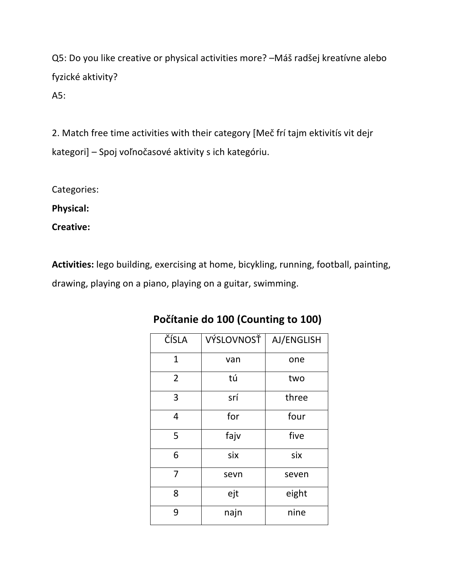Q5: Do you like creative or physical activities more? -Máš radšej kreatívne alebo fyzické aktivity?

A5:

2. Match free time activities with their category [Meč frí tajm ektivitís vit dejr kategori] – Spoj voľnočasové aktivity s ich kategóriu.

Categories: 

**Physical:**

**Creative:**

Activities: lego building, exercising at home, bicykling, running, football, painting, drawing, playing on a piano, playing on a guitar, swimming.

| ČÍSLA          | VÝSLOVNOSŤ | AJ/ENGLISH |
|----------------|------------|------------|
| $\mathbf{1}$   | van        | one        |
| $\overline{2}$ | tú         | two        |
| 3              | srí        | three      |
| 4              | for        | four       |
| 5              | fajv       | five       |
| 6              | six        | six        |
| $\overline{7}$ | sevn       | seven      |
| 8              | ejt        | eight      |
| 9              | najn       | nine       |

### Počítanie do 100 (Counting to 100)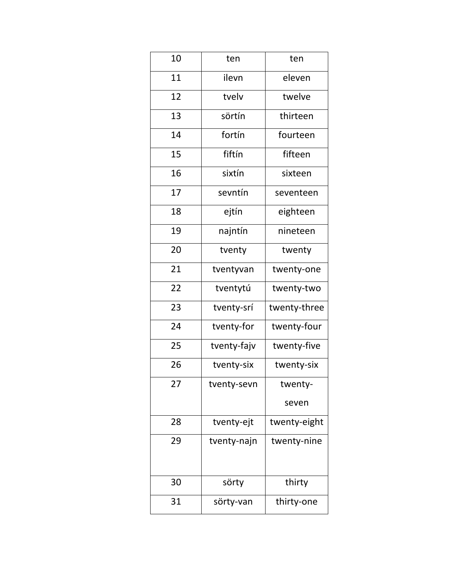| 10 | ten         | ten          |
|----|-------------|--------------|
| 11 | ilevn       | eleven       |
| 12 | tvely       | twelve       |
| 13 | sörtín      | thirteen     |
| 14 | fortín      | fourteen     |
| 15 | fiftín      | fifteen      |
| 16 | sixtín      | sixteen      |
| 17 | sevntín     | seventeen    |
| 18 | ejtín       | eighteen     |
| 19 | najntín     | nineteen     |
| 20 | tventy      | twenty       |
| 21 | tventyvan   | twenty-one   |
| 22 | tventytú    | twenty-two   |
| 23 | tventy-srí  | twenty-three |
| 24 | tventy-for  | twenty-four  |
| 25 | tventy-fajv | twenty-five  |
| 26 | tventy-six  | twenty-six   |
| 27 | tventy-sevn | twenty-      |
|    |             | seven        |
| 28 | tventy-ejt  | twenty-eight |
| 29 | tventy-najn | twenty-nine  |
|    |             |              |
| 30 | sörty       | thirty       |
| 31 | sörty-van   | thirty-one   |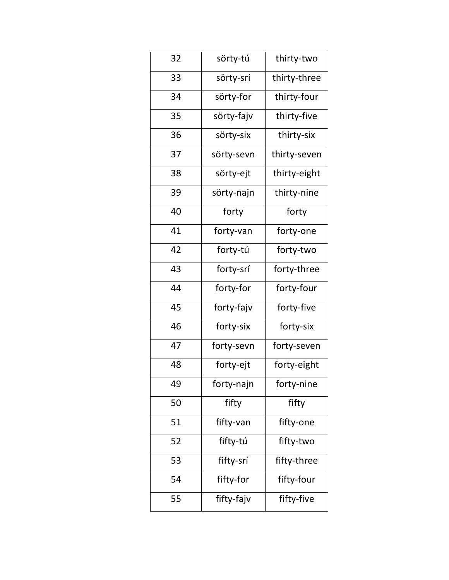| 32 | sörty-tú   | thirty-two   |
|----|------------|--------------|
|    |            |              |
| 33 | sörty-srí  | thirty-three |
| 34 | sörty-for  | thirty-four  |
| 35 | sörty-fajv | thirty-five  |
| 36 | sörty-six  | thirty-six   |
| 37 | sörty-sevn | thirty-seven |
| 38 | sörty-ejt  | thirty-eight |
| 39 | sörty-najn | thirty-nine  |
| 40 | forty      | forty        |
| 41 | forty-van  | forty-one    |
| 42 | forty-tú   | forty-two    |
| 43 | forty-srí  | forty-three  |
| 44 | forty-for  | forty-four   |
| 45 | forty-fajv | forty-five   |
| 46 | forty-six  | forty-six    |
| 47 | forty-sevn | forty-seven  |
| 48 | forty-ejt  | forty-eight  |
| 49 | forty-najn | forty-nine   |
| 50 | fifty      | fifty        |
| 51 | fifty-van  | fifty-one    |
| 52 | fifty-tú   | fifty-two    |
| 53 | fifty-srí  | fifty-three  |
|    |            |              |
| 54 | fifty-for  | fifty-four   |
|    |            |              |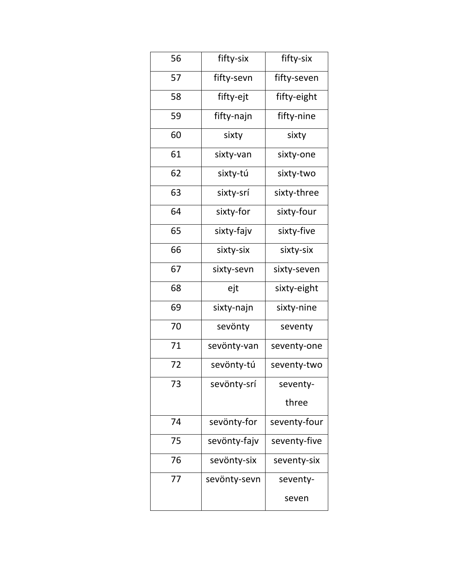| 56 | fifty-six    | fifty-six    |
|----|--------------|--------------|
| 57 | fifty-sevn   | fifty-seven  |
| 58 | fifty-ejt    | fifty-eight  |
| 59 | fifty-najn   | fifty-nine   |
| 60 | sixty        | sixty        |
| 61 | sixty-van    | sixty-one    |
| 62 | sixty-tú     | sixty-two    |
| 63 | sixty-srí    | sixty-three  |
| 64 | sixty-for    | sixty-four   |
| 65 | sixty-fajv   | sixty-five   |
| 66 | sixty-six    | sixty-six    |
| 67 | sixty-sevn   | sixty-seven  |
| 68 | ejt          | sixty-eight  |
| 69 | sixty-najn   | sixty-nine   |
| 70 | sevönty      | seventy      |
| 71 | sevönty-van  | seventy-one  |
| 72 | sevönty-tú   | seventy-two  |
| 73 | sevönty-srí  | seventy-     |
|    |              | three        |
| 74 | sevönty-for  | seventy-four |
| 75 | sevönty-fajv | seventy-five |
| 76 | sevönty-six  | seventy-six  |
| 77 | sevönty-sevn | seventy-     |
|    |              | seven        |